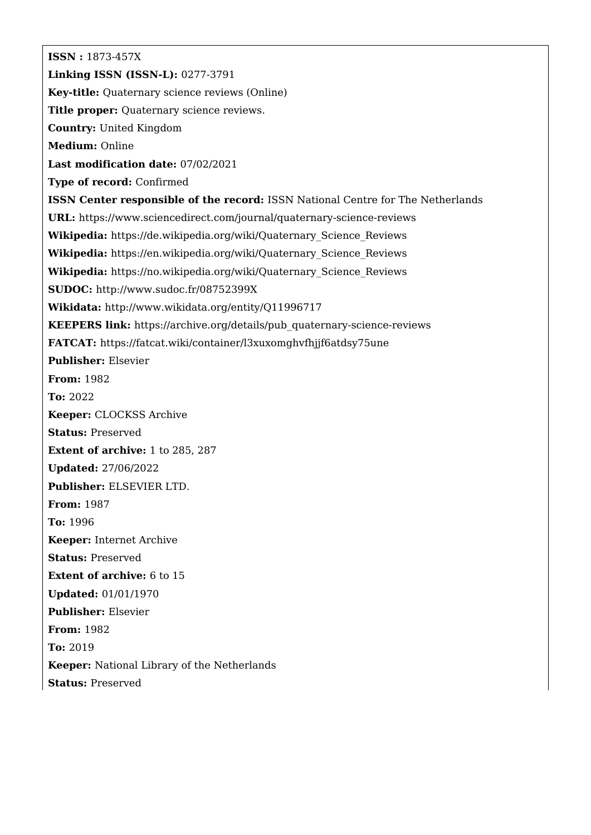**ISSN :** 1873-457X **Linking ISSN (ISSN-L):** 0277-3791 **Key-title:** Quaternary science reviews (Online) Title proper: Quaternary science reviews. **Country:** United Kingdom **Medium:** Online **Last modification date:** 07/02/2021 **Type of record:** Confirmed **ISSN Center responsible of the record:** ISSN National Centre for The Netherlands **URL:** <https://www.sciencedirect.com/journal/quaternary-science-reviews> **Wikipedia:** [https://de.wikipedia.org/wiki/Quaternary\\_Science\\_Reviews](https://de.wikipedia.org/wiki/Quaternary_Science_Reviews) **Wikipedia:** [https://en.wikipedia.org/wiki/Quaternary\\_Science\\_Reviews](https://en.wikipedia.org/wiki/Quaternary_Science_Reviews) **Wikipedia:** [https://no.wikipedia.org/wiki/Quaternary\\_Science\\_Reviews](https://no.wikipedia.org/wiki/Quaternary_Science_Reviews) **SUDOC:** <http://www.sudoc.fr/08752399X> **Wikidata:** <http://www.wikidata.org/entity/Q11996717> **KEEPERS link:** [https://archive.org/details/pub\\_quaternary-science-reviews](https://archive.org/details/pub_quaternary-science-reviews) **FATCAT:** <https://fatcat.wiki/container/l3xuxomghvfhjjf6atdsy75une> **Publisher:** Elsevier **From:** 1982 **To:** 2022 **Keeper:** CLOCKSS Archive **Status:** Preserved **Extent of archive:** 1 to 285, 287 **Updated:** 27/06/2022 **Publisher:** ELSEVIER LTD. **From:** 1987 **To:** 1996 **Keeper:** Internet Archive **Status:** Preserved **Extent of archive:** 6 to 15 **Updated:** 01/01/1970 **Publisher:** Elsevier **From:** 1982 **To:** 2019 **Keeper:** National Library of the Netherlands **Status:** Preserved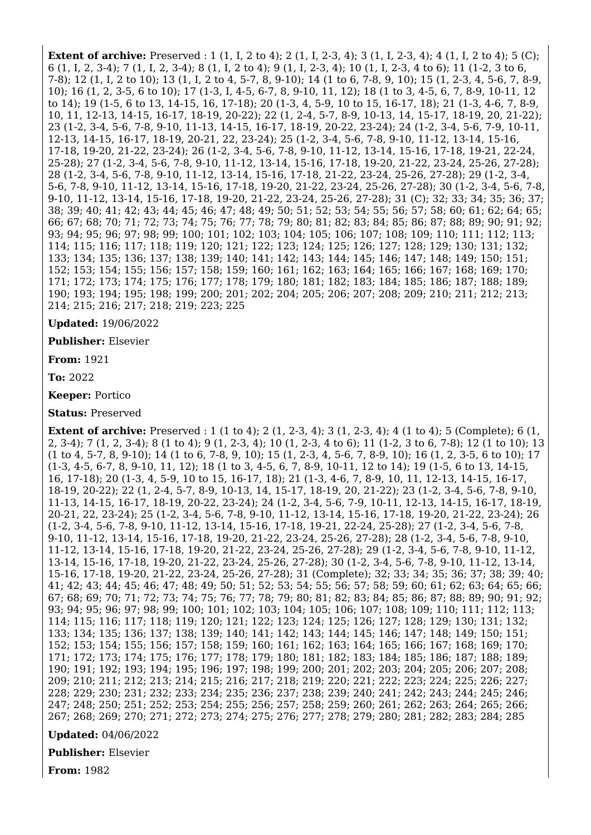**Extent of archive:** Preserved : 1 (1, I, 2 to 4); 2 (1, I, 2-3, 4); 3 (1, I, 2-3, 4); 4 (1, I, 2 to 4); 5 (C); 6 (1, I, 2, 3-4); 7 (1, I, 2, 3-4); 8 (1, I, 2 to 4); 9 (1, I, 2-3, 4); 10 (1, I, 2-3, 4 to 6); 11 (1-2, 3 to 6, 7-8); 12 (1, I, 2 to 10); 13 (1, I, 2 to 4, 5-7, 8, 9-10); 14 (1 to 6, 7-8, 9, 10); 15 (1, 2-3, 4, 5-6, 7, 8-9, 10); 16 (1, 2, 3-5, 6 to 10); 17 (1-3, I, 4-5, 6-7, 8, 9-10, 11, 12); 18 (1 to 3, 4-5, 6, 7, 8-9, 10-11, 12 to 14); 19 (1-5, 6 to 13, 14-15, 16, 17-18); 20 (1-3, 4, 5-9, 10 to 15, 16-17, 18); 21 (1-3, 4-6, 7, 8-9, 10, 11, 12-13, 14-15, 16-17, 18-19, 20-22); 22 (1, 2-4, 5-7, 8-9, 10-13, 14, 15-17, 18-19, 20, 21-22); 23 (1-2, 3-4, 5-6, 7-8, 9-10, 11-13, 14-15, 16-17, 18-19, 20-22, 23-24); 24 (1-2, 3-4, 5-6, 7-9, 10-11, 12-13, 14-15, 16-17, 18-19, 20-21, 22, 23-24); 25 (1-2, 3-4, 5-6, 7-8, 9-10, 11-12, 13-14, 15-16, 17-18, 19-20, 21-22, 23-24); 26 (1-2, 3-4, 5-6, 7-8, 9-10, 11-12, 13-14, 15-16, 17-18, 19-21, 22-24, 25-28); 27 (1-2, 3-4, 5-6, 7-8, 9-10, 11-12, 13-14, 15-16, 17-18, 19-20, 21-22, 23-24, 25-26, 27-28); 28 (1-2, 3-4, 5-6, 7-8, 9-10, 11-12, 13-14, 15-16, 17-18, 21-22, 23-24, 25-26, 27-28); 29 (1-2, 3-4, 5-6, 7-8, 9-10, 11-12, 13-14, 15-16, 17-18, 19-20, 21-22, 23-24, 25-26, 27-28); 30 (1-2, 3-4, 5-6, 7-8, 9-10, 11-12, 13-14, 15-16, 17-18, 19-20, 21-22, 23-24, 25-26, 27-28); 31 (C); 32; 33; 34; 35; 36; 37; 38; 39; 40; 41; 42; 43; 44; 45; 46; 47; 48; 49; 50; 51; 52; 53; 54; 55; 56; 57; 58; 60; 61; 62; 64; 65; 66; 67; 68; 70; 71; 72; 73; 74; 75; 76; 77; 78; 79; 80; 81; 82; 83; 84; 85; 86; 87; 88; 89; 90; 91; 92; 93; 94; 95; 96; 97; 98; 99; 100; 101; 102; 103; 104; 105; 106; 107; 108; 109; 110; 111; 112; 113; 114; 115; 116; 117; 118; 119; 120; 121; 122; 123; 124; 125; 126; 127; 128; 129; 130; 131; 132; 133; 134; 135; 136; 137; 138; 139; 140; 141; 142; 143; 144; 145; 146; 147; 148; 149; 150; 151; 152; 153; 154; 155; 156; 157; 158; 159; 160; 161; 162; 163; 164; 165; 166; 167; 168; 169; 170; 171; 172; 173; 174; 175; 176; 177; 178; 179; 180; 181; 182; 183; 184; 185; 186; 187; 188; 189; 190; 193; 194; 195; 198; 199; 200; 201; 202; 204; 205; 206; 207; 208; 209; 210; 211; 212; 213; 214; 215; 216; 217; 218; 219; 223; 225

**Updated:** 19/06/2022

**Publisher:** Elsevier

**From:** 1921

**To:** 2022

**Keeper:** Portico

**Status:** Preserved

**Extent of archive:** Preserved : 1 (1 to 4); 2 (1, 2-3, 4); 3 (1, 2-3, 4); 4 (1 to 4); 5 (Complete); 6 (1, 2, 3-4); 7 (1, 2, 3-4); 8 (1 to 4); 9 (1, 2-3, 4); 10 (1, 2-3, 4 to 6); 11 (1-2, 3 to 6, 7-8); 12 (1 to 10); 13 (1 to 4, 5-7, 8, 9-10); 14 (1 to 6, 7-8, 9, 10); 15 (1, 2-3, 4, 5-6, 7, 8-9, 10); 16 (1, 2, 3-5, 6 to 10); 17 (1-3, 4-5, 6-7, 8, 9-10, 11, 12); 18 (1 to 3, 4-5, 6, 7, 8-9, 10-11, 12 to 14); 19 (1-5, 6 to 13, 14-15, 16, 17-18); 20 (1-3, 4, 5-9, 10 to 15, 16-17, 18); 21 (1-3, 4-6, 7, 8-9, 10, 11, 12-13, 14-15, 16-17, 18-19, 20-22); 22 (1, 2-4, 5-7, 8-9, 10-13, 14, 15-17, 18-19, 20, 21-22); 23 (1-2, 3-4, 5-6, 7-8, 9-10, 11-13, 14-15, 16-17, 18-19, 20-22, 23-24); 24 (1-2, 3-4, 5-6, 7-9, 10-11, 12-13, 14-15, 16-17, 18-19, 20-21, 22, 23-24); 25 (1-2, 3-4, 5-6, 7-8, 9-10, 11-12, 13-14, 15-16, 17-18, 19-20, 21-22, 23-24); 26 (1-2, 3-4, 5-6, 7-8, 9-10, 11-12, 13-14, 15-16, 17-18, 19-21, 22-24, 25-28); 27 (1-2, 3-4, 5-6, 7-8, 9-10, 11-12, 13-14, 15-16, 17-18, 19-20, 21-22, 23-24, 25-26, 27-28); 28 (1-2, 3-4, 5-6, 7-8, 9-10, 11-12, 13-14, 15-16, 17-18, 19-20, 21-22, 23-24, 25-26, 27-28); 29 (1-2, 3-4, 5-6, 7-8, 9-10, 11-12, 13-14, 15-16, 17-18, 19-20, 21-22, 23-24, 25-26, 27-28); 30 (1-2, 3-4, 5-6, 7-8, 9-10, 11-12, 13-14, 15-16, 17-18, 19-20, 21-22, 23-24, 25-26, 27-28); 31 (Complete); 32; 33; 34; 35; 36; 37; 38; 39; 40; 41; 42; 43; 44; 45; 46; 47; 48; 49; 50; 51; 52; 53; 54; 55; 56; 57; 58; 59; 60; 61; 62; 63; 64; 65; 66; 67; 68; 69; 70; 71; 72; 73; 74; 75; 76; 77; 78; 79; 80; 81; 82; 83; 84; 85; 86; 87; 88; 89; 90; 91; 92; 93; 94; 95; 96; 97; 98; 99; 100; 101; 102; 103; 104; 105; 106; 107; 108; 109; 110; 111; 112; 113; 114; 115; 116; 117; 118; 119; 120; 121; 122; 123; 124; 125; 126; 127; 128; 129; 130; 131; 132; 133; 134; 135; 136; 137; 138; 139; 140; 141; 142; 143; 144; 145; 146; 147; 148; 149; 150; 151; 152; 153; 154; 155; 156; 157; 158; 159; 160; 161; 162; 163; 164; 165; 166; 167; 168; 169; 170; 171; 172; 173; 174; 175; 176; 177; 178; 179; 180; 181; 182; 183; 184; 185; 186; 187; 188; 189; 190; 191; 192; 193; 194; 195; 196; 197; 198; 199; 200; 201; 202; 203; 204; 205; 206; 207; 208; 209; 210; 211; 212; 213; 214; 215; 216; 217; 218; 219; 220; 221; 222; 223; 224; 225; 226; 227; 228; 229; 230; 231; 232; 233; 234; 235; 236; 237; 238; 239; 240; 241; 242; 243; 244; 245; 246; 247; 248; 250; 251; 252; 253; 254; 255; 256; 257; 258; 259; 260; 261; 262; 263; 264; 265; 266; 267; 268; 269; 270; 271; 272; 273; 274; 275; 276; 277; 278; 279; 280; 281; 282; 283; 284; 285

**Updated:** 04/06/2022

**Publisher:** Elsevier

**From:** 1982